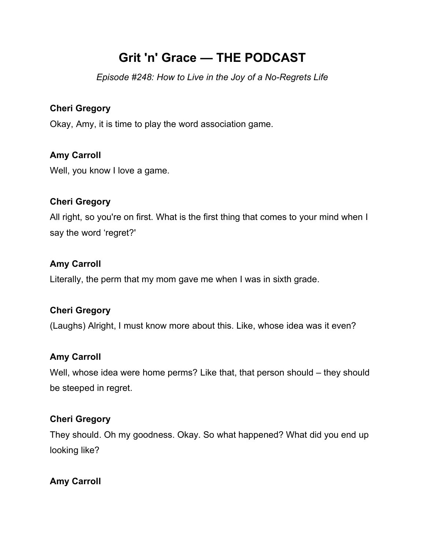# **Grit 'n' Grace — THE PODCAST**

*Episode #248: How to Live in the Joy of a No-Regrets Life*

# **Cheri Gregory**

Okay, Amy, it is time to play the word association game.

# **Amy Carroll**

Well, you know I love a game.

# **Cheri Gregory**

All right, so you're on first. What is the first thing that comes to your mind when I say the word 'regret?'

# **Amy Carroll**

Literally, the perm that my mom gave me when I was in sixth grade.

# **Cheri Gregory**

(Laughs) Alright, I must know more about this. Like, whose idea was it even?

# **Amy Carroll**

Well, whose idea were home perms? Like that, that person should – they should be steeped in regret.

# **Cheri Gregory**

They should. Oh my goodness. Okay. So what happened? What did you end up looking like?

# **Amy Carroll**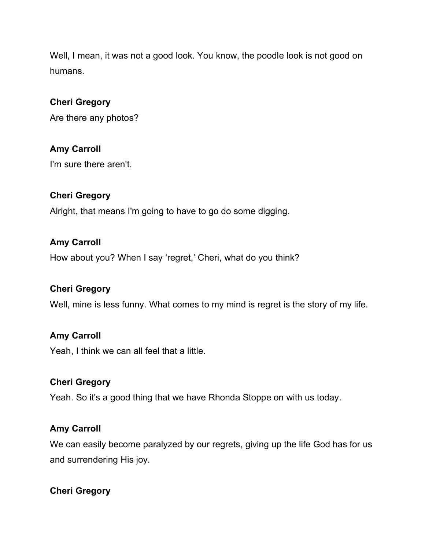Well, I mean, it was not a good look. You know, the poodle look is not good on humans.

# **Cheri Gregory**

Are there any photos?

# **Amy Carroll**

I'm sure there aren't.

### **Cheri Gregory**

Alright, that means I'm going to have to go do some digging.

### **Amy Carroll**

How about you? When I say 'regret,' Cheri, what do you think?

# **Cheri Gregory**

Well, mine is less funny. What comes to my mind is regret is the story of my life.

#### **Amy Carroll**

Yeah, I think we can all feel that a little.

### **Cheri Gregory**

Yeah. So it's a good thing that we have Rhonda Stoppe on with us today.

#### **Amy Carroll**

We can easily become paralyzed by our regrets, giving up the life God has for us and surrendering His joy.

# **Cheri Gregory**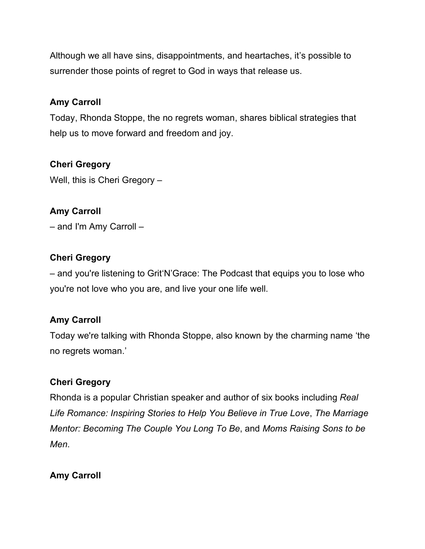Although we all have sins, disappointments, and heartaches, it's possible to surrender those points of regret to God in ways that release us.

# **Amy Carroll**

Today, Rhonda Stoppe, the no regrets woman, shares biblical strategies that help us to move forward and freedom and joy.

# **Cheri Gregory**

Well, this is Cheri Gregory –

# **Amy Carroll**

– and I'm Amy Carroll –

### **Cheri Gregory**

– and you're listening to Grit'N'Grace: The Podcast that equips you to lose who you're not love who you are, and live your one life well.

# **Amy Carroll**

Today we're talking with Rhonda Stoppe, also known by the charming name 'the no regrets woman.'

# **Cheri Gregory**

Rhonda is a popular Christian speaker and author of six books including *Real Life Romance: Inspiring Stories to Help You Believe in True Love*, *The Marriage Mentor: Becoming The Couple You Long To Be*, and *Moms Raising Sons to be Men*.

#### **Amy Carroll**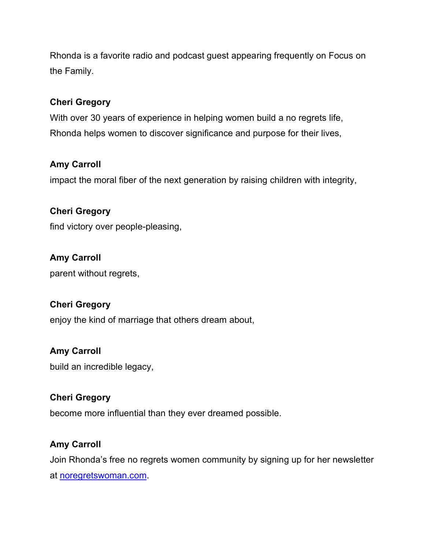Rhonda is a favorite radio and podcast guest appearing frequently on Focus on the Family.

# **Cheri Gregory**

With over 30 years of experience in helping women build a no regrets life, Rhonda helps women to discover significance and purpose for their lives,

# **Amy Carroll**

impact the moral fiber of the next generation by raising children with integrity,

**Cheri Gregory**  find victory over people-pleasing,

**Amy Carroll**  parent without regrets,

# **Cheri Gregory**

enjoy the kind of marriage that others dream about,

# **Amy Carroll**

build an incredible legacy,

# **Cheri Gregory**

become more influential than they ever dreamed possible.

# **Amy Carroll**

Join Rhonda's free no regrets women community by signing up for her newsletter at noregretswoman.com.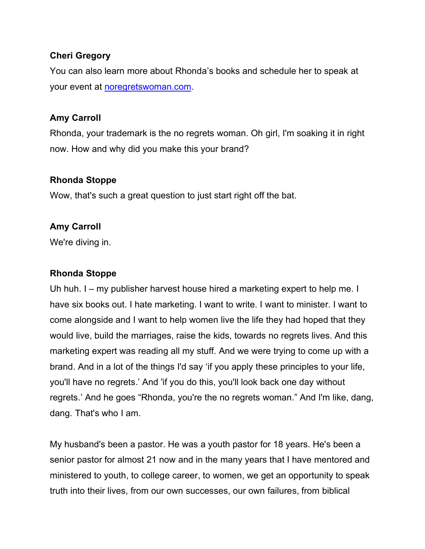### **Cheri Gregory**

You can also learn more about Rhonda's books and schedule her to speak at your event at noregretswoman.com.

### **Amy Carroll**

Rhonda, your trademark is the no regrets woman. Oh girl, I'm soaking it in right now. How and why did you make this your brand?

### **Rhonda Stoppe**

Wow, that's such a great question to just start right off the bat.

# **Amy Carroll**

We're diving in.

### **Rhonda Stoppe**

Uh huh. I – my publisher harvest house hired a marketing expert to help me. I have six books out. I hate marketing. I want to write. I want to minister. I want to come alongside and I want to help women live the life they had hoped that they would live, build the marriages, raise the kids, towards no regrets lives. And this marketing expert was reading all my stuff. And we were trying to come up with a brand. And in a lot of the things I'd say 'if you apply these principles to your life, you'll have no regrets.' And 'if you do this, you'll look back one day without regrets.' And he goes "Rhonda, you're the no regrets woman." And I'm like, dang, dang. That's who I am.

My husband's been a pastor. He was a youth pastor for 18 years. He's been a senior pastor for almost 21 now and in the many years that I have mentored and ministered to youth, to college career, to women, we get an opportunity to speak truth into their lives, from our own successes, our own failures, from biblical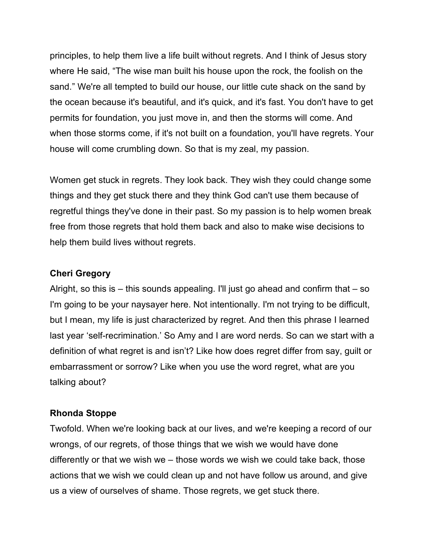principles, to help them live a life built without regrets. And I think of Jesus story where He said, "The wise man built his house upon the rock, the foolish on the sand." We're all tempted to build our house, our little cute shack on the sand by the ocean because it's beautiful, and it's quick, and it's fast. You don't have to get permits for foundation, you just move in, and then the storms will come. And when those storms come, if it's not built on a foundation, you'll have regrets. Your house will come crumbling down. So that is my zeal, my passion.

Women get stuck in regrets. They look back. They wish they could change some things and they get stuck there and they think God can't use them because of regretful things they've done in their past. So my passion is to help women break free from those regrets that hold them back and also to make wise decisions to help them build lives without regrets.

#### **Cheri Gregory**

Alright, so this is – this sounds appealing. I'll just go ahead and confirm that – so I'm going to be your naysayer here. Not intentionally. I'm not trying to be difficult, but I mean, my life is just characterized by regret. And then this phrase I learned last year 'self-recrimination.' So Amy and I are word nerds. So can we start with a definition of what regret is and isn't? Like how does regret differ from say, guilt or embarrassment or sorrow? Like when you use the word regret, what are you talking about?

#### **Rhonda Stoppe**

Twofold. When we're looking back at our lives, and we're keeping a record of our wrongs, of our regrets, of those things that we wish we would have done differently or that we wish we – those words we wish we could take back, those actions that we wish we could clean up and not have follow us around, and give us a view of ourselves of shame. Those regrets, we get stuck there.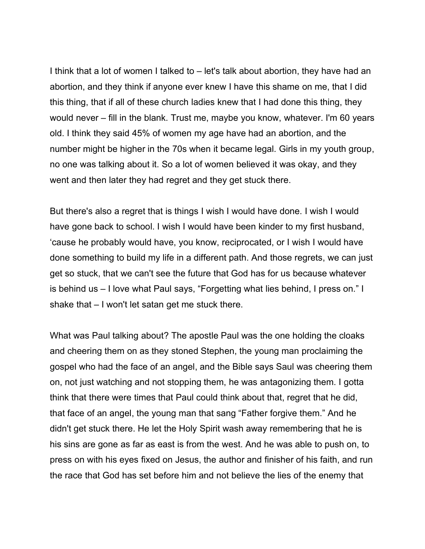I think that a lot of women I talked to – let's talk about abortion, they have had an abortion, and they think if anyone ever knew I have this shame on me, that I did this thing, that if all of these church ladies knew that I had done this thing, they would never – fill in the blank. Trust me, maybe you know, whatever. I'm 60 years old. I think they said 45% of women my age have had an abortion, and the number might be higher in the 70s when it became legal. Girls in my youth group, no one was talking about it. So a lot of women believed it was okay, and they went and then later they had regret and they get stuck there.

But there's also a regret that is things I wish I would have done. I wish I would have gone back to school. I wish I would have been kinder to my first husband, 'cause he probably would have, you know, reciprocated, or I wish I would have done something to build my life in a different path. And those regrets, we can just get so stuck, that we can't see the future that God has for us because whatever is behind us – I love what Paul says, "Forgetting what lies behind, I press on." I shake that – I won't let satan get me stuck there.

What was Paul talking about? The apostle Paul was the one holding the cloaks and cheering them on as they stoned Stephen, the young man proclaiming the gospel who had the face of an angel, and the Bible says Saul was cheering them on, not just watching and not stopping them, he was antagonizing them. I gotta think that there were times that Paul could think about that, regret that he did, that face of an angel, the young man that sang "Father forgive them." And he didn't get stuck there. He let the Holy Spirit wash away remembering that he is his sins are gone as far as east is from the west. And he was able to push on, to press on with his eyes fixed on Jesus, the author and finisher of his faith, and run the race that God has set before him and not believe the lies of the enemy that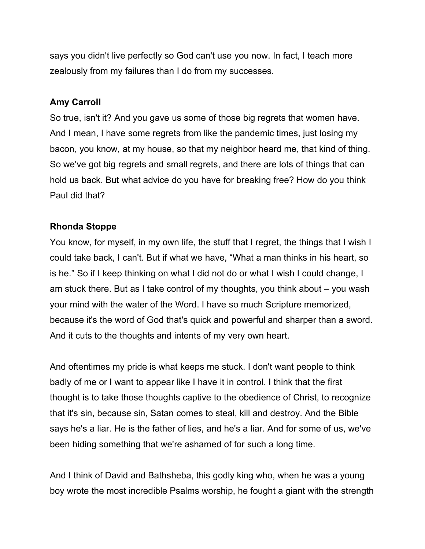says you didn't live perfectly so God can't use you now. In fact, I teach more zealously from my failures than I do from my successes.

# **Amy Carroll**

So true, isn't it? And you gave us some of those big regrets that women have. And I mean, I have some regrets from like the pandemic times, just losing my bacon, you know, at my house, so that my neighbor heard me, that kind of thing. So we've got big regrets and small regrets, and there are lots of things that can hold us back. But what advice do you have for breaking free? How do you think Paul did that?

# **Rhonda Stoppe**

You know, for myself, in my own life, the stuff that I regret, the things that I wish I could take back, I can't. But if what we have, "What a man thinks in his heart, so is he." So if I keep thinking on what I did not do or what I wish I could change, I am stuck there. But as I take control of my thoughts, you think about – you wash your mind with the water of the Word. I have so much Scripture memorized, because it's the word of God that's quick and powerful and sharper than a sword. And it cuts to the thoughts and intents of my very own heart.

And oftentimes my pride is what keeps me stuck. I don't want people to think badly of me or I want to appear like I have it in control. I think that the first thought is to take those thoughts captive to the obedience of Christ, to recognize that it's sin, because sin, Satan comes to steal, kill and destroy. And the Bible says he's a liar. He is the father of lies, and he's a liar. And for some of us, we've been hiding something that we're ashamed of for such a long time.

And I think of David and Bathsheba, this godly king who, when he was a young boy wrote the most incredible Psalms worship, he fought a giant with the strength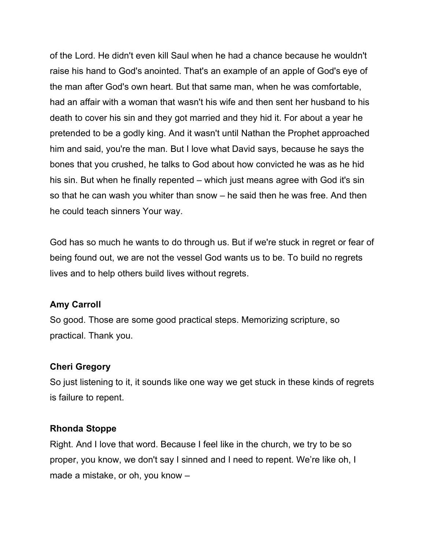of the Lord. He didn't even kill Saul when he had a chance because he wouldn't raise his hand to God's anointed. That's an example of an apple of God's eye of the man after God's own heart. But that same man, when he was comfortable, had an affair with a woman that wasn't his wife and then sent her husband to his death to cover his sin and they got married and they hid it. For about a year he pretended to be a godly king. And it wasn't until Nathan the Prophet approached him and said, you're the man. But I love what David says, because he says the bones that you crushed, he talks to God about how convicted he was as he hid his sin. But when he finally repented – which just means agree with God it's sin so that he can wash you whiter than snow – he said then he was free. And then he could teach sinners Your way.

God has so much he wants to do through us. But if we're stuck in regret or fear of being found out, we are not the vessel God wants us to be. To build no regrets lives and to help others build lives without regrets.

#### **Amy Carroll**

So good. Those are some good practical steps. Memorizing scripture, so practical. Thank you.

#### **Cheri Gregory**

So just listening to it, it sounds like one way we get stuck in these kinds of regrets is failure to repent.

#### **Rhonda Stoppe**

Right. And I love that word. Because I feel like in the church, we try to be so proper, you know, we don't say I sinned and I need to repent. We're like oh, I made a mistake, or oh, you know –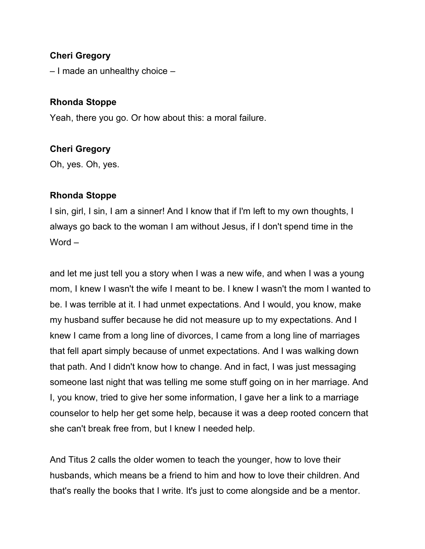# **Cheri Gregory**

– I made an unhealthy choice –

#### **Rhonda Stoppe**

Yeah, there you go. Or how about this: a moral failure.

#### **Cheri Gregory**

Oh, yes. Oh, yes.

#### **Rhonda Stoppe**

I sin, girl, I sin, I am a sinner! And I know that if I'm left to my own thoughts, I always go back to the woman I am without Jesus, if I don't spend time in the Word –

and let me just tell you a story when I was a new wife, and when I was a young mom, I knew I wasn't the wife I meant to be. I knew I wasn't the mom I wanted to be. I was terrible at it. I had unmet expectations. And I would, you know, make my husband suffer because he did not measure up to my expectations. And I knew I came from a long line of divorces, I came from a long line of marriages that fell apart simply because of unmet expectations. And I was walking down that path. And I didn't know how to change. And in fact, I was just messaging someone last night that was telling me some stuff going on in her marriage. And I, you know, tried to give her some information, I gave her a link to a marriage counselor to help her get some help, because it was a deep rooted concern that she can't break free from, but I knew I needed help.

And Titus 2 calls the older women to teach the younger, how to love their husbands, which means be a friend to him and how to love their children. And that's really the books that I write. It's just to come alongside and be a mentor.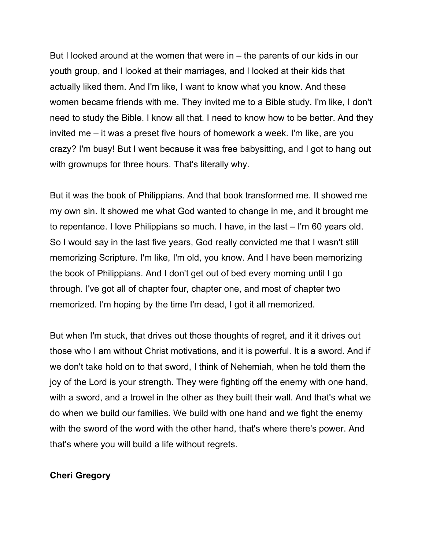But I looked around at the women that were in – the parents of our kids in our youth group, and I looked at their marriages, and I looked at their kids that actually liked them. And I'm like, I want to know what you know. And these women became friends with me. They invited me to a Bible study. I'm like, I don't need to study the Bible. I know all that. I need to know how to be better. And they invited me – it was a preset five hours of homework a week. I'm like, are you crazy? I'm busy! But I went because it was free babysitting, and I got to hang out with grownups for three hours. That's literally why.

But it was the book of Philippians. And that book transformed me. It showed me my own sin. It showed me what God wanted to change in me, and it brought me to repentance. I love Philippians so much. I have, in the last – I'm 60 years old. So I would say in the last five years, God really convicted me that I wasn't still memorizing Scripture. I'm like, I'm old, you know. And I have been memorizing the book of Philippians. And I don't get out of bed every morning until I go through. I've got all of chapter four, chapter one, and most of chapter two memorized. I'm hoping by the time I'm dead, I got it all memorized.

But when I'm stuck, that drives out those thoughts of regret, and it it drives out those who I am without Christ motivations, and it is powerful. It is a sword. And if we don't take hold on to that sword, I think of Nehemiah, when he told them the joy of the Lord is your strength. They were fighting off the enemy with one hand, with a sword, and a trowel in the other as they built their wall. And that's what we do when we build our families. We build with one hand and we fight the enemy with the sword of the word with the other hand, that's where there's power. And that's where you will build a life without regrets.

#### **Cheri Gregory**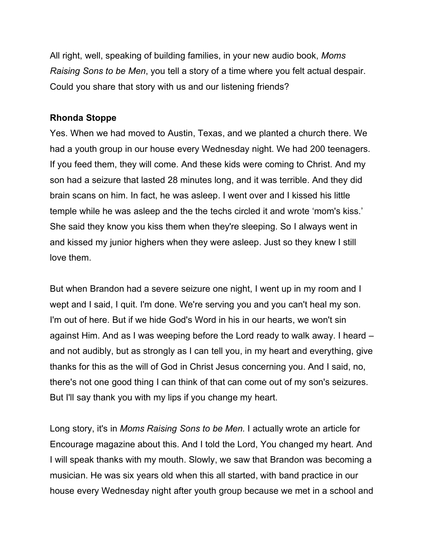All right, well, speaking of building families, in your new audio book, *Moms Raising Sons to be Men*, you tell a story of a time where you felt actual despair. Could you share that story with us and our listening friends?

### **Rhonda Stoppe**

Yes. When we had moved to Austin, Texas, and we planted a church there. We had a youth group in our house every Wednesday night. We had 200 teenagers. If you feed them, they will come. And these kids were coming to Christ. And my son had a seizure that lasted 28 minutes long, and it was terrible. And they did brain scans on him. In fact, he was asleep. I went over and I kissed his little temple while he was asleep and the the techs circled it and wrote 'mom's kiss.' She said they know you kiss them when they're sleeping. So I always went in and kissed my junior highers when they were asleep. Just so they knew I still love them.

But when Brandon had a severe seizure one night, I went up in my room and I wept and I said, I quit. I'm done. We're serving you and you can't heal my son. I'm out of here. But if we hide God's Word in his in our hearts, we won't sin against Him. And as I was weeping before the Lord ready to walk away. I heard – and not audibly, but as strongly as I can tell you, in my heart and everything, give thanks for this as the will of God in Christ Jesus concerning you. And I said, no, there's not one good thing I can think of that can come out of my son's seizures. But I'll say thank you with my lips if you change my heart.

Long story, it's in *Moms Raising Sons to be Men.* I actually wrote an article for Encourage magazine about this. And I told the Lord, You changed my heart. And I will speak thanks with my mouth. Slowly, we saw that Brandon was becoming a musician. He was six years old when this all started, with band practice in our house every Wednesday night after youth group because we met in a school and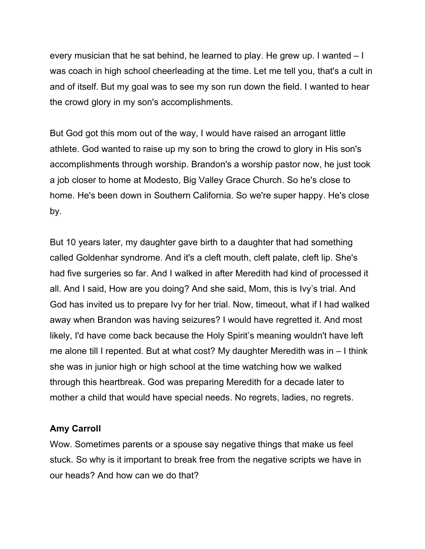every musician that he sat behind, he learned to play. He grew up. I wanted – I was coach in high school cheerleading at the time. Let me tell you, that's a cult in and of itself. But my goal was to see my son run down the field. I wanted to hear the crowd glory in my son's accomplishments.

But God got this mom out of the way, I would have raised an arrogant little athlete. God wanted to raise up my son to bring the crowd to glory in His son's accomplishments through worship. Brandon's a worship pastor now, he just took a job closer to home at Modesto, Big Valley Grace Church. So he's close to home. He's been down in Southern California. So we're super happy. He's close by.

But 10 years later, my daughter gave birth to a daughter that had something called Goldenhar syndrome. And it's a cleft mouth, cleft palate, cleft lip. She's had five surgeries so far. And I walked in after Meredith had kind of processed it all. And I said, How are you doing? And she said, Mom, this is Ivy's trial. And God has invited us to prepare Ivy for her trial. Now, timeout, what if I had walked away when Brandon was having seizures? I would have regretted it. And most likely, I'd have come back because the Holy Spirit's meaning wouldn't have left me alone till I repented. But at what cost? My daughter Meredith was in – I think she was in junior high or high school at the time watching how we walked through this heartbreak. God was preparing Meredith for a decade later to mother a child that would have special needs. No regrets, ladies, no regrets.

#### **Amy Carroll**

Wow. Sometimes parents or a spouse say negative things that make us feel stuck. So why is it important to break free from the negative scripts we have in our heads? And how can we do that?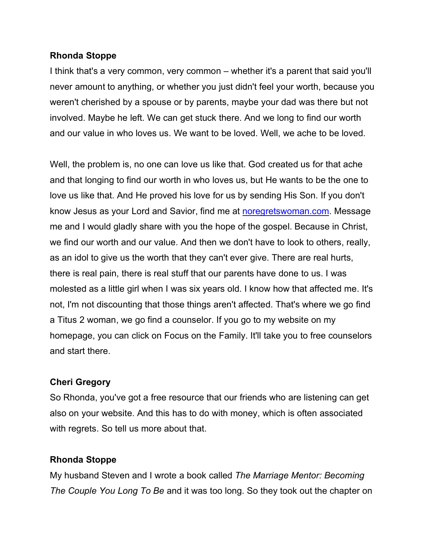#### **Rhonda Stoppe**

I think that's a very common, very common – whether it's a parent that said you'll never amount to anything, or whether you just didn't feel your worth, because you weren't cherished by a spouse or by parents, maybe your dad was there but not involved. Maybe he left. We can get stuck there. And we long to find our worth and our value in who loves us. We want to be loved. Well, we ache to be loved.

Well, the problem is, no one can love us like that. God created us for that ache and that longing to find our worth in who loves us, but He wants to be the one to love us like that. And He proved his love for us by sending His Son. If you don't know Jesus as your Lord and Savior, find me at noregretswoman.com. Message me and I would gladly share with you the hope of the gospel. Because in Christ, we find our worth and our value. And then we don't have to look to others, really, as an idol to give us the worth that they can't ever give. There are real hurts, there is real pain, there is real stuff that our parents have done to us. I was molested as a little girl when I was six years old. I know how that affected me. It's not, I'm not discounting that those things aren't affected. That's where we go find a Titus 2 woman, we go find a counselor. If you go to my website on my homepage, you can click on Focus on the Family. It'll take you to free counselors and start there.

#### **Cheri Gregory**

So Rhonda, you've got a free resource that our friends who are listening can get also on your website. And this has to do with money, which is often associated with regrets. So tell us more about that.

#### **Rhonda Stoppe**

My husband Steven and I wrote a book called *The Marriage Mentor: Becoming The Couple You Long To Be* and it was too long. So they took out the chapter on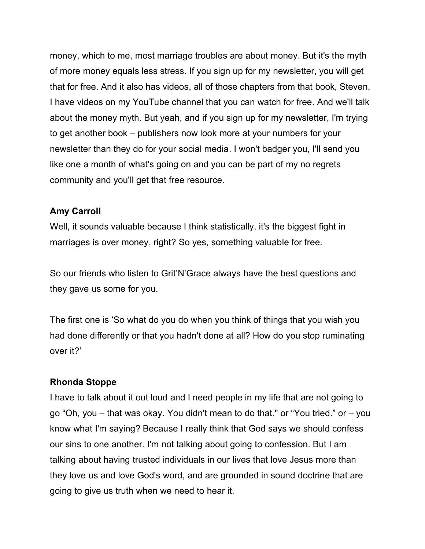money, which to me, most marriage troubles are about money. But it's the myth of more money equals less stress. If you sign up for my newsletter, you will get that for free. And it also has videos, all of those chapters from that book, Steven, I have videos on my YouTube channel that you can watch for free. And we'll talk about the money myth. But yeah, and if you sign up for my newsletter, I'm trying to get another book – publishers now look more at your numbers for your newsletter than they do for your social media. I won't badger you, I'll send you like one a month of what's going on and you can be part of my no regrets community and you'll get that free resource.

# **Amy Carroll**

Well, it sounds valuable because I think statistically, it's the biggest fight in marriages is over money, right? So yes, something valuable for free.

So our friends who listen to Grit'N'Grace always have the best questions and they gave us some for you.

The first one is 'So what do you do when you think of things that you wish you had done differently or that you hadn't done at all? How do you stop ruminating over it?'

#### **Rhonda Stoppe**

I have to talk about it out loud and I need people in my life that are not going to go "Oh, you – that was okay. You didn't mean to do that." or "You tried." or – you know what I'm saying? Because I really think that God says we should confess our sins to one another. I'm not talking about going to confession. But I am talking about having trusted individuals in our lives that love Jesus more than they love us and love God's word, and are grounded in sound doctrine that are going to give us truth when we need to hear it.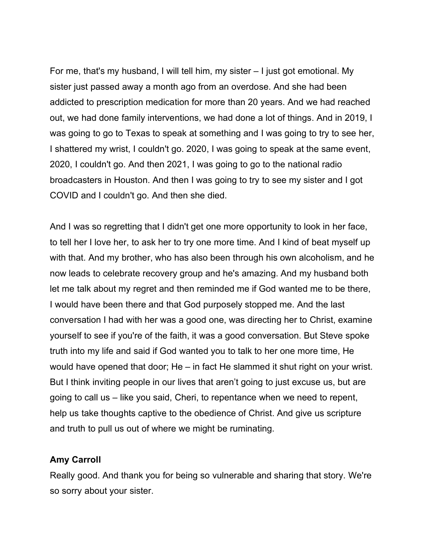For me, that's my husband, I will tell him, my sister – I just got emotional. My sister just passed away a month ago from an overdose. And she had been addicted to prescription medication for more than 20 years. And we had reached out, we had done family interventions, we had done a lot of things. And in 2019, I was going to go to Texas to speak at something and I was going to try to see her, I shattered my wrist, I couldn't go. 2020, I was going to speak at the same event, 2020, I couldn't go. And then 2021, I was going to go to the national radio broadcasters in Houston. And then I was going to try to see my sister and I got COVID and I couldn't go. And then she died.

And I was so regretting that I didn't get one more opportunity to look in her face, to tell her I love her, to ask her to try one more time. And I kind of beat myself up with that. And my brother, who has also been through his own alcoholism, and he now leads to celebrate recovery group and he's amazing. And my husband both let me talk about my regret and then reminded me if God wanted me to be there, I would have been there and that God purposely stopped me. And the last conversation I had with her was a good one, was directing her to Christ, examine yourself to see if you're of the faith, it was a good conversation. But Steve spoke truth into my life and said if God wanted you to talk to her one more time, He would have opened that door; He – in fact He slammed it shut right on your wrist. But I think inviting people in our lives that aren't going to just excuse us, but are going to call us – like you said, Cheri, to repentance when we need to repent, help us take thoughts captive to the obedience of Christ. And give us scripture and truth to pull us out of where we might be ruminating.

#### **Amy Carroll**

Really good. And thank you for being so vulnerable and sharing that story. We're so sorry about your sister.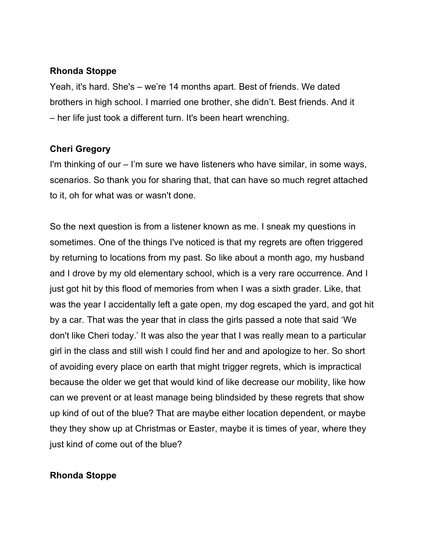### **Rhonda Stoppe**

Yeah, it's hard. She's – we're 14 months apart. Best of friends. We dated brothers in high school. I married one brother, she didn't. Best friends. And it – her life just took a different turn. It's been heart wrenching.

# **Cheri Gregory**

I'm thinking of our – I'm sure we have listeners who have similar, in some ways, scenarios. So thank you for sharing that, that can have so much regret attached to it, oh for what was or wasn't done.

So the next question is from a listener known as me. I sneak my questions in sometimes. One of the things I've noticed is that my regrets are often triggered by returning to locations from my past. So like about a month ago, my husband and I drove by my old elementary school, which is a very rare occurrence. And I just got hit by this flood of memories from when I was a sixth grader. Like, that was the year I accidentally left a gate open, my dog escaped the yard, and got hit by a car. That was the year that in class the girls passed a note that said 'We don't like Cheri today.' It was also the year that I was really mean to a particular girl in the class and still wish I could find her and and apologize to her. So short of avoiding every place on earth that might trigger regrets, which is impractical because the older we get that would kind of like decrease our mobility, like how can we prevent or at least manage being blindsided by these regrets that show up kind of out of the blue? That are maybe either location dependent, or maybe they they show up at Christmas or Easter, maybe it is times of year, where they just kind of come out of the blue?

# **Rhonda Stoppe**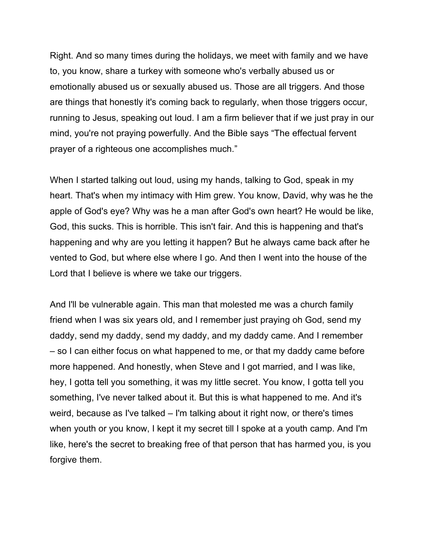Right. And so many times during the holidays, we meet with family and we have to, you know, share a turkey with someone who's verbally abused us or emotionally abused us or sexually abused us. Those are all triggers. And those are things that honestly it's coming back to regularly, when those triggers occur, running to Jesus, speaking out loud. I am a firm believer that if we just pray in our mind, you're not praying powerfully. And the Bible says "The effectual fervent prayer of a righteous one accomplishes much."

When I started talking out loud, using my hands, talking to God, speak in my heart. That's when my intimacy with Him grew. You know, David, why was he the apple of God's eye? Why was he a man after God's own heart? He would be like, God, this sucks. This is horrible. This isn't fair. And this is happening and that's happening and why are you letting it happen? But he always came back after he vented to God, but where else where I go. And then I went into the house of the Lord that I believe is where we take our triggers.

And I'll be vulnerable again. This man that molested me was a church family friend when I was six years old, and I remember just praying oh God, send my daddy, send my daddy, send my daddy, and my daddy came. And I remember – so I can either focus on what happened to me, or that my daddy came before more happened. And honestly, when Steve and I got married, and I was like, hey, I gotta tell you something, it was my little secret. You know, I gotta tell you something, I've never talked about it. But this is what happened to me. And it's weird, because as I've talked – I'm talking about it right now, or there's times when youth or you know, I kept it my secret till I spoke at a youth camp. And I'm like, here's the secret to breaking free of that person that has harmed you, is you forgive them.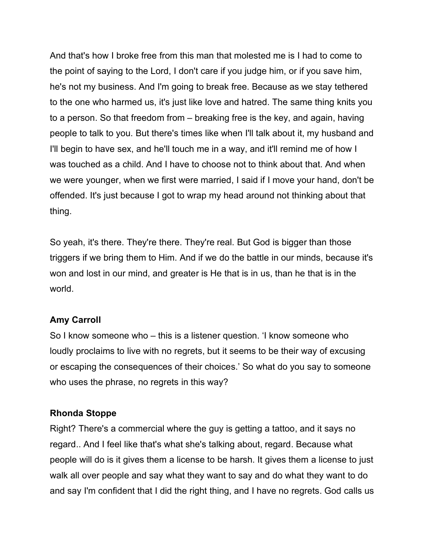And that's how I broke free from this man that molested me is I had to come to the point of saying to the Lord, I don't care if you judge him, or if you save him, he's not my business. And I'm going to break free. Because as we stay tethered to the one who harmed us, it's just like love and hatred. The same thing knits you to a person. So that freedom from – breaking free is the key, and again, having people to talk to you. But there's times like when I'll talk about it, my husband and I'll begin to have sex, and he'll touch me in a way, and it'll remind me of how I was touched as a child. And I have to choose not to think about that. And when we were younger, when we first were married, I said if I move your hand, don't be offended. It's just because I got to wrap my head around not thinking about that thing.

So yeah, it's there. They're there. They're real. But God is bigger than those triggers if we bring them to Him. And if we do the battle in our minds, because it's won and lost in our mind, and greater is He that is in us, than he that is in the world.

#### **Amy Carroll**

So I know someone who – this is a listener question. 'I know someone who loudly proclaims to live with no regrets, but it seems to be their way of excusing or escaping the consequences of their choices.' So what do you say to someone who uses the phrase, no regrets in this way?

#### **Rhonda Stoppe**

Right? There's a commercial where the guy is getting a tattoo, and it says no regard.. And I feel like that's what she's talking about, regard. Because what people will do is it gives them a license to be harsh. It gives them a license to just walk all over people and say what they want to say and do what they want to do and say I'm confident that I did the right thing, and I have no regrets. God calls us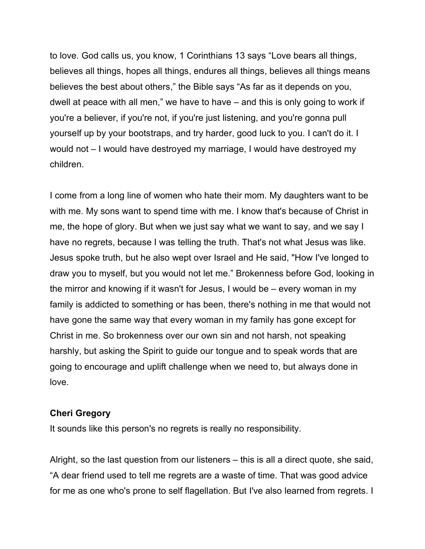to love. God calls us, you know, 1 Corinthians 13 says "Love bears all things, believes all things, hopes all things, endures all things, believes all things means believes the best about others," the Bible says "As far as it depends on you, dwell at peace with all men," we have to have – and this is only going to work if you're a believer, if you're not, if you're just listening, and you're gonna pull yourself up by your bootstraps, and try harder, good luck to you. I can't do it. I would not – I would have destroyed my marriage, I would have destroyed my children.

I come from a long line of women who hate their mom. My daughters want to be with me. My sons want to spend time with me. I know that's because of Christ in me, the hope of glory. But when we just say what we want to say, and we say I have no regrets, because I was telling the truth. That's not what Jesus was like. Jesus spoke truth, but he also wept over Israel and He said, "How I've longed to draw you to myself, but you would not let me." Brokenness before God, looking in the mirror and knowing if it wasn't for Jesus, I would be – every woman in my family is addicted to something or has been, there's nothing in me that would not have gone the same way that every woman in my family has gone except for Christ in me. So brokenness over our own sin and not harsh, not speaking harshly, but asking the Spirit to guide our tongue and to speak words that are going to encourage and uplift challenge when we need to, but always done in love.

#### **Cheri Gregory**

It sounds like this person's no regrets is really no responsibility.

Alright, so the last question from our listeners – this is all a direct quote, she said, "A dear friend used to tell me regrets are a waste of time. That was good advice for me as one who's prone to self flagellation. But I've also learned from regrets. I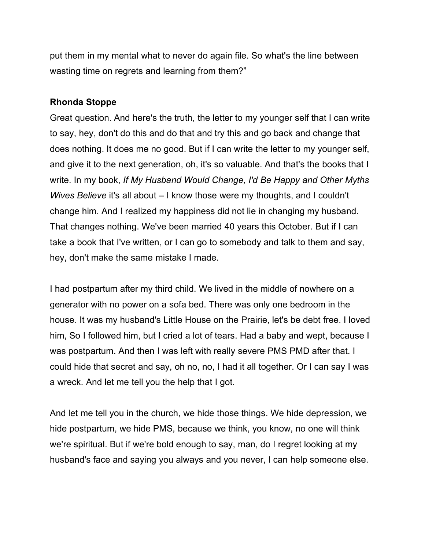put them in my mental what to never do again file. So what's the line between wasting time on regrets and learning from them?"

#### **Rhonda Stoppe**

Great question. And here's the truth, the letter to my younger self that I can write to say, hey, don't do this and do that and try this and go back and change that does nothing. It does me no good. But if I can write the letter to my younger self, and give it to the next generation, oh, it's so valuable. And that's the books that I write. In my book, *If My Husband Would Change, I'd Be Happy and Other Myths Wives Believe* it's all about – I know those were my thoughts, and I couldn't change him. And I realized my happiness did not lie in changing my husband. That changes nothing. We've been married 40 years this October. But if I can take a book that I've written, or I can go to somebody and talk to them and say, hey, don't make the same mistake I made.

I had postpartum after my third child. We lived in the middle of nowhere on a generator with no power on a sofa bed. There was only one bedroom in the house. It was my husband's Little House on the Prairie, let's be debt free. I loved him, So I followed him, but I cried a lot of tears. Had a baby and wept, because I was postpartum. And then I was left with really severe PMS PMD after that. I could hide that secret and say, oh no, no, I had it all together. Or I can say I was a wreck. And let me tell you the help that I got.

And let me tell you in the church, we hide those things. We hide depression, we hide postpartum, we hide PMS, because we think, you know, no one will think we're spiritual. But if we're bold enough to say, man, do I regret looking at my husband's face and saying you always and you never, I can help someone else.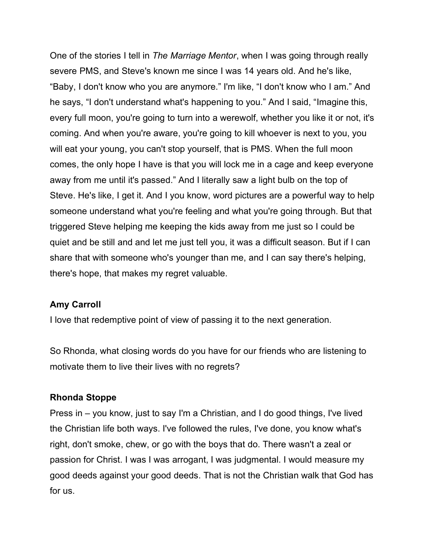One of the stories I tell in *The Marriage Mentor*, when I was going through really severe PMS, and Steve's known me since I was 14 years old. And he's like, "Baby, I don't know who you are anymore." I'm like, "I don't know who I am." And he says, "I don't understand what's happening to you." And I said, "Imagine this, every full moon, you're going to turn into a werewolf, whether you like it or not, it's coming. And when you're aware, you're going to kill whoever is next to you, you will eat your young, you can't stop yourself, that is PMS. When the full moon comes, the only hope I have is that you will lock me in a cage and keep everyone away from me until it's passed." And I literally saw a light bulb on the top of Steve. He's like, I get it. And I you know, word pictures are a powerful way to help someone understand what you're feeling and what you're going through. But that triggered Steve helping me keeping the kids away from me just so I could be quiet and be still and and let me just tell you, it was a difficult season. But if I can share that with someone who's younger than me, and I can say there's helping, there's hope, that makes my regret valuable.

#### **Amy Carroll**

I love that redemptive point of view of passing it to the next generation.

So Rhonda, what closing words do you have for our friends who are listening to motivate them to live their lives with no regrets?

#### **Rhonda Stoppe**

Press in – you know, just to say I'm a Christian, and I do good things, I've lived the Christian life both ways. I've followed the rules, I've done, you know what's right, don't smoke, chew, or go with the boys that do. There wasn't a zeal or passion for Christ. I was I was arrogant, I was judgmental. I would measure my good deeds against your good deeds. That is not the Christian walk that God has for us.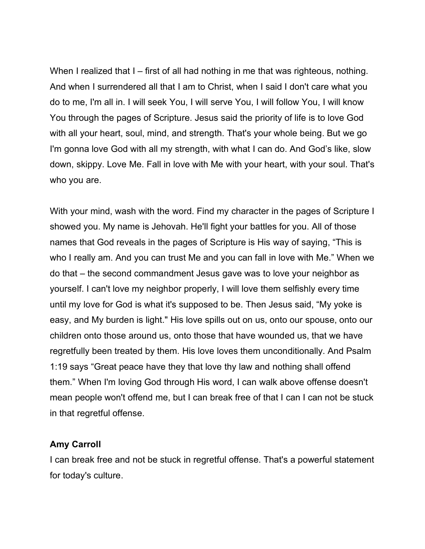When I realized that I – first of all had nothing in me that was righteous, nothing. And when I surrendered all that I am to Christ, when I said I don't care what you do to me, I'm all in. I will seek You, I will serve You, I will follow You, I will know You through the pages of Scripture. Jesus said the priority of life is to love God with all your heart, soul, mind, and strength. That's your whole being. But we go I'm gonna love God with all my strength, with what I can do. And God's like, slow down, skippy. Love Me. Fall in love with Me with your heart, with your soul. That's who you are.

With your mind, wash with the word. Find my character in the pages of Scripture I showed you. My name is Jehovah. He'll fight your battles for you. All of those names that God reveals in the pages of Scripture is His way of saying, "This is who I really am. And you can trust Me and you can fall in love with Me." When we do that – the second commandment Jesus gave was to love your neighbor as yourself. I can't love my neighbor properly, I will love them selfishly every time until my love for God is what it's supposed to be. Then Jesus said, "My yoke is easy, and My burden is light." His love spills out on us, onto our spouse, onto our children onto those around us, onto those that have wounded us, that we have regretfully been treated by them. His love loves them unconditionally. And Psalm 1:19 says "Great peace have they that love thy law and nothing shall offend them." When I'm loving God through His word, I can walk above offense doesn't mean people won't offend me, but I can break free of that I can I can not be stuck in that regretful offense.

#### **Amy Carroll**

I can break free and not be stuck in regretful offense. That's a powerful statement for today's culture.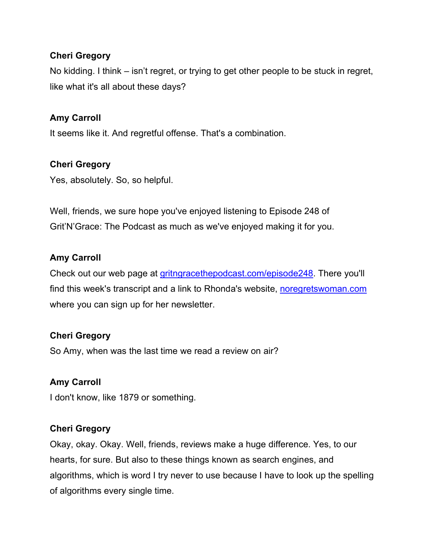# **Cheri Gregory**

No kidding. I think – isn't regret, or trying to get other people to be stuck in regret, like what it's all about these days?

# **Amy Carroll**

It seems like it. And regretful offense. That's a combination.

# **Cheri Gregory**

Yes, absolutely. So, so helpful.

Well, friends, we sure hope you've enjoyed listening to Episode 248 of Grit'N'Grace: The Podcast as much as we've enjoyed making it for you.

# **Amy Carroll**

Check out our web page at gritngracethepodcast.com/episode248. There you'll find this week's transcript and a link to Rhonda's website, noregretswoman.com where you can sign up for her newsletter.

# **Cheri Gregory**

So Amy, when was the last time we read a review on air?

# **Amy Carroll**

I don't know, like 1879 or something.

# **Cheri Gregory**

Okay, okay. Okay. Well, friends, reviews make a huge difference. Yes, to our hearts, for sure. But also to these things known as search engines, and algorithms, which is word I try never to use because I have to look up the spelling of algorithms every single time.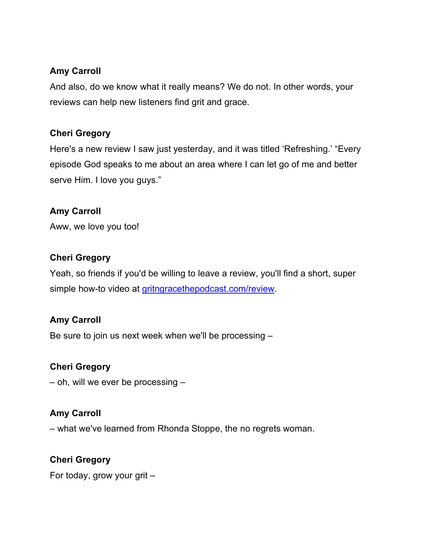# **Amy Carroll**

And also, do we know what it really means? We do not. In other words, your reviews can help new listeners find grit and grace.

# **Cheri Gregory**

Here's a new review I saw just yesterday, and it was titled 'Refreshing.' "Every episode God speaks to me about an area where I can let go of me and better serve Him. I love you guys."

# **Amy Carroll**

Aww, we love you too!

# **Cheri Gregory**

Yeah, so friends if you'd be willing to leave a review, you'll find a short, super simple how-to video at gritngracethepodcast.com/review.

# **Amy Carroll**

Be sure to join us next week when we'll be processing –

# **Cheri Gregory**

– oh, will we ever be processing –

# **Amy Carroll**

– what we've learned from Rhonda Stoppe, the no regrets woman.

# **Cheri Gregory**

For today, grow your grit –